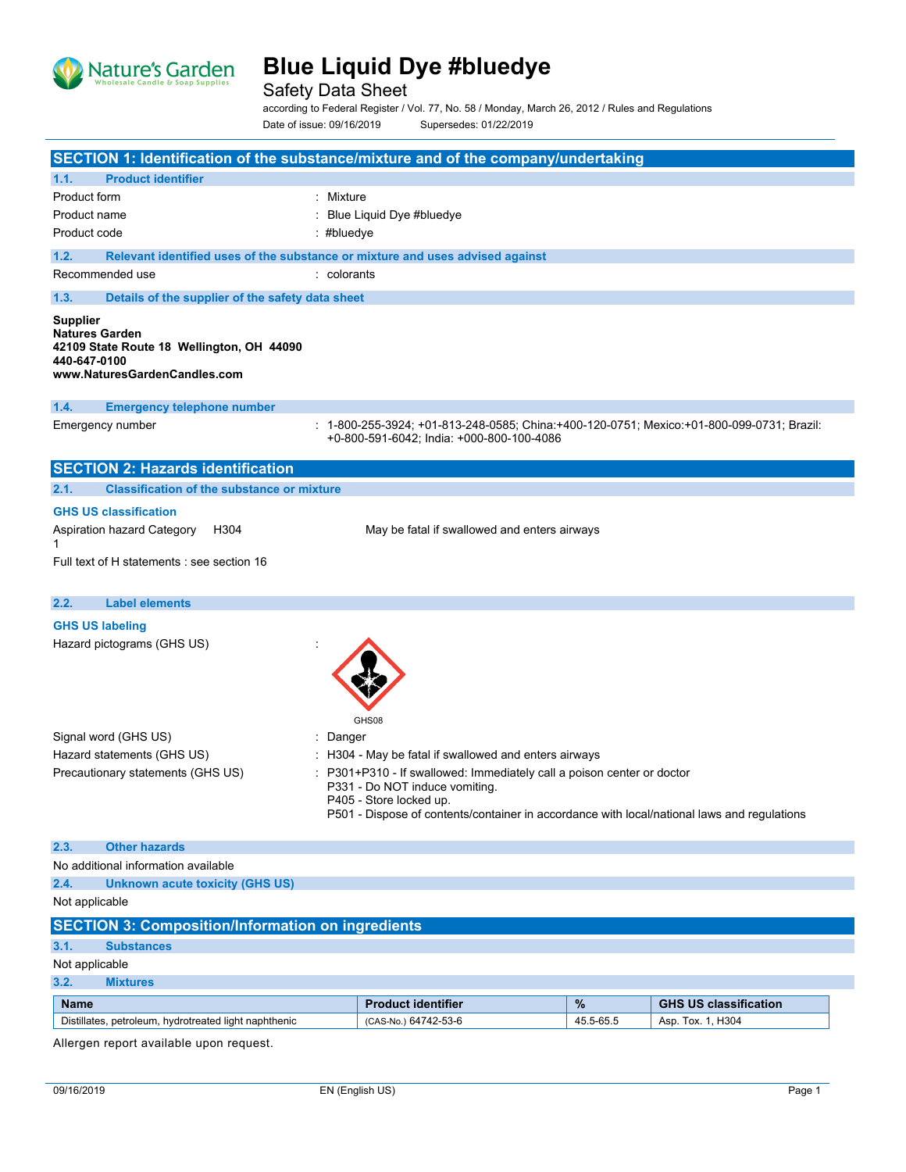

Safety Data Sheet

according to Federal Register / Vol. 77, No. 58 / Monday, March 26, 2012 / Rules and Regulations Date of issue: 09/16/2019 Supersedes: 01/22/2019

| SECTION 1: Identification of the substance/mixture and of the company/undertaking                                                     |                                                                                                                                                                                                                                    |           |                              |
|---------------------------------------------------------------------------------------------------------------------------------------|------------------------------------------------------------------------------------------------------------------------------------------------------------------------------------------------------------------------------------|-----------|------------------------------|
| <b>Product identifier</b><br>1.1.                                                                                                     |                                                                                                                                                                                                                                    |           |                              |
| Product form                                                                                                                          | : Mixture                                                                                                                                                                                                                          |           |                              |
| Product name                                                                                                                          | Blue Liquid Dye #bluedye                                                                                                                                                                                                           |           |                              |
| Product code                                                                                                                          | : #bluedye                                                                                                                                                                                                                         |           |                              |
| 1.2.<br>Relevant identified uses of the substance or mixture and uses advised against                                                 |                                                                                                                                                                                                                                    |           |                              |
| Recommended use                                                                                                                       | : colorants                                                                                                                                                                                                                        |           |                              |
| 1.3.<br>Details of the supplier of the safety data sheet                                                                              |                                                                                                                                                                                                                                    |           |                              |
| <b>Supplier</b><br><b>Natures Garden</b><br>42109 State Route 18 Wellington, OH 44090<br>440-647-0100<br>www.NaturesGardenCandles.com |                                                                                                                                                                                                                                    |           |                              |
| 1.4.<br><b>Emergency telephone number</b>                                                                                             |                                                                                                                                                                                                                                    |           |                              |
| Emergency number                                                                                                                      | : 1-800-255-3924; +01-813-248-0585; China:+400-120-0751; Mexico:+01-800-099-0731; Brazil:<br>+0-800-591-6042; India: +000-800-100-4086                                                                                             |           |                              |
| <b>SECTION 2: Hazards identification</b>                                                                                              |                                                                                                                                                                                                                                    |           |                              |
| <b>Classification of the substance or mixture</b><br>2.1.                                                                             |                                                                                                                                                                                                                                    |           |                              |
| <b>GHS US classification</b>                                                                                                          |                                                                                                                                                                                                                                    |           |                              |
| Aspiration hazard Category<br>H304<br>1                                                                                               | May be fatal if swallowed and enters airways                                                                                                                                                                                       |           |                              |
| Full text of H statements : see section 16                                                                                            |                                                                                                                                                                                                                                    |           |                              |
| 2.2.<br><b>Label elements</b>                                                                                                         |                                                                                                                                                                                                                                    |           |                              |
| <b>GHS US labeling</b>                                                                                                                |                                                                                                                                                                                                                                    |           |                              |
| Hazard pictograms (GHS US)                                                                                                            | GHS08                                                                                                                                                                                                                              |           |                              |
| Signal word (GHS US)                                                                                                                  | Danger                                                                                                                                                                                                                             |           |                              |
| Hazard statements (GHS US)                                                                                                            | : H304 - May be fatal if swallowed and enters airways                                                                                                                                                                              |           |                              |
| Precautionary statements (GHS US)                                                                                                     | : P301+P310 - If swallowed: Immediately call a poison center or doctor<br>P331 - Do NOT induce vomiting.<br>P405 - Store locked up.<br>P501 - Dispose of contents/container in accordance with local/national laws and regulations |           |                              |
| 2.3.<br><b>Other hazards</b>                                                                                                          |                                                                                                                                                                                                                                    |           |                              |
| No additional information available                                                                                                   |                                                                                                                                                                                                                                    |           |                              |
| 2.4.<br><b>Unknown acute toxicity (GHS US)</b>                                                                                        |                                                                                                                                                                                                                                    |           |                              |
| Not applicable                                                                                                                        |                                                                                                                                                                                                                                    |           |                              |
| <b>SECTION 3: Composition/Information on ingredients</b>                                                                              |                                                                                                                                                                                                                                    |           |                              |
| 3.1.<br><b>Substances</b>                                                                                                             |                                                                                                                                                                                                                                    |           |                              |
| Not applicable                                                                                                                        |                                                                                                                                                                                                                                    |           |                              |
| 3.2.<br><b>Mixtures</b>                                                                                                               |                                                                                                                                                                                                                                    |           |                              |
| <b>Name</b>                                                                                                                           | <b>Product identifier</b>                                                                                                                                                                                                          | $\%$      | <b>GHS US classification</b> |
| Distillates, petroleum, hydrotreated light naphthenic                                                                                 | (CAS-No.) 64742-53-6                                                                                                                                                                                                               | 45.5-65.5 | Asp. Tox. 1, H304            |

Allergen report available upon request.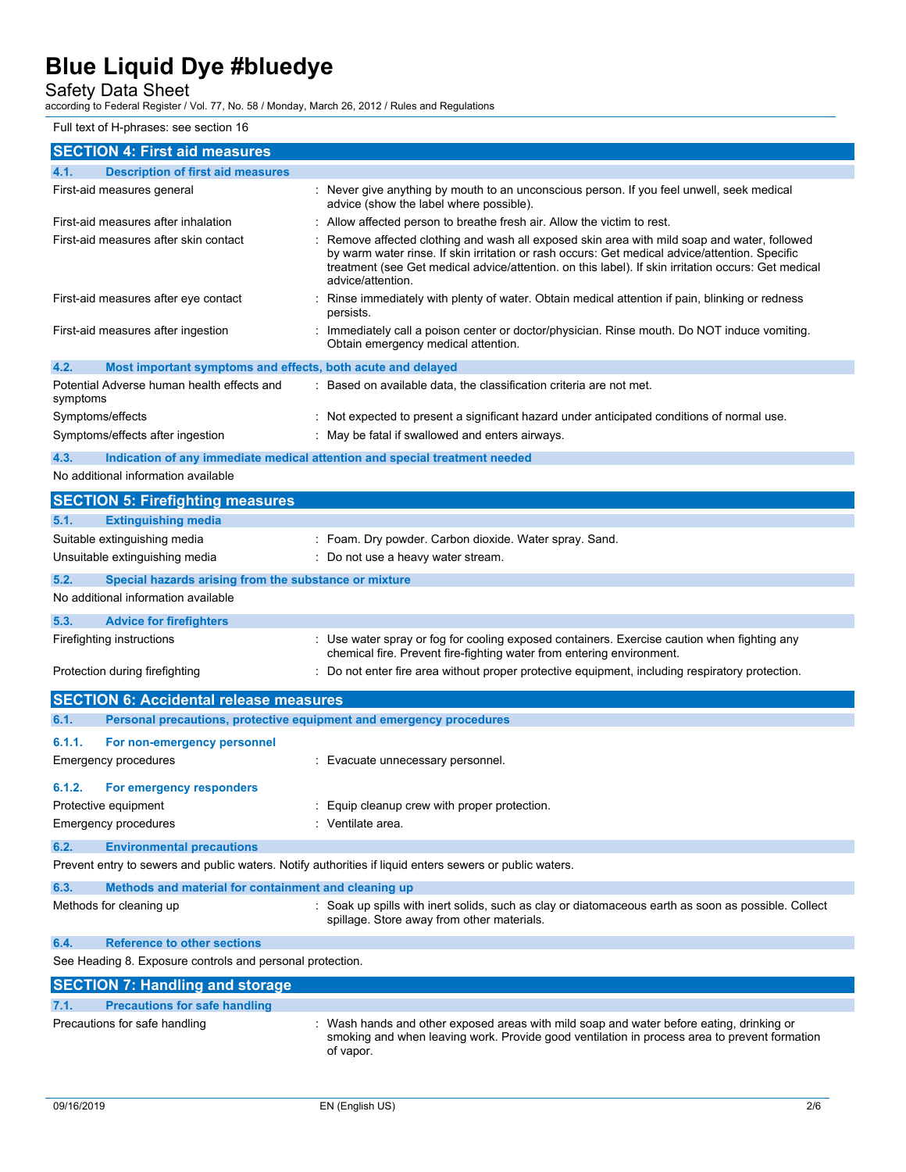### Safety Data Sheet

according to Federal Register / Vol. 77, No. 58 / Monday, March 26, 2012 / Rules and Regulations

Full text of H-phrases: see section 16

| : Never give anything by mouth to an unconscious person. If you feel unwell, seek medical<br>advice (show the label where possible).                                                                                                                                                                                                                                                                                                                     |
|----------------------------------------------------------------------------------------------------------------------------------------------------------------------------------------------------------------------------------------------------------------------------------------------------------------------------------------------------------------------------------------------------------------------------------------------------------|
| Allow affected person to breathe fresh air. Allow the victim to rest.                                                                                                                                                                                                                                                                                                                                                                                    |
| Remove affected clothing and wash all exposed skin area with mild soap and water, followed<br>by warm water rinse. If skin irritation or rash occurs: Get medical advice/attention. Specific<br>treatment (see Get medical advice/attention. on this label). If skin irritation occurs: Get medical                                                                                                                                                      |
| : Rinse immediately with plenty of water. Obtain medical attention if pain, blinking or redness                                                                                                                                                                                                                                                                                                                                                          |
| : Immediately call a poison center or doctor/physician. Rinse mouth. Do NOT induce vomiting.<br>Obtain emergency medical attention.                                                                                                                                                                                                                                                                                                                      |
|                                                                                                                                                                                                                                                                                                                                                                                                                                                          |
| : Based on available data, the classification criteria are not met.                                                                                                                                                                                                                                                                                                                                                                                      |
| : Not expected to present a significant hazard under anticipated conditions of normal use.                                                                                                                                                                                                                                                                                                                                                               |
| May be fatal if swallowed and enters airways.                                                                                                                                                                                                                                                                                                                                                                                                            |
| Indication of any immediate medical attention and special treatment needed                                                                                                                                                                                                                                                                                                                                                                               |
|                                                                                                                                                                                                                                                                                                                                                                                                                                                          |
|                                                                                                                                                                                                                                                                                                                                                                                                                                                          |
|                                                                                                                                                                                                                                                                                                                                                                                                                                                          |
|                                                                                                                                                                                                                                                                                                                                                                                                                                                          |
|                                                                                                                                                                                                                                                                                                                                                                                                                                                          |
|                                                                                                                                                                                                                                                                                                                                                                                                                                                          |
|                                                                                                                                                                                                                                                                                                                                                                                                                                                          |
|                                                                                                                                                                                                                                                                                                                                                                                                                                                          |
|                                                                                                                                                                                                                                                                                                                                                                                                                                                          |
| chemical fire. Prevent fire-fighting water from entering environment.                                                                                                                                                                                                                                                                                                                                                                                    |
|                                                                                                                                                                                                                                                                                                                                                                                                                                                          |
|                                                                                                                                                                                                                                                                                                                                                                                                                                                          |
|                                                                                                                                                                                                                                                                                                                                                                                                                                                          |
|                                                                                                                                                                                                                                                                                                                                                                                                                                                          |
|                                                                                                                                                                                                                                                                                                                                                                                                                                                          |
|                                                                                                                                                                                                                                                                                                                                                                                                                                                          |
|                                                                                                                                                                                                                                                                                                                                                                                                                                                          |
|                                                                                                                                                                                                                                                                                                                                                                                                                                                          |
|                                                                                                                                                                                                                                                                                                                                                                                                                                                          |
|                                                                                                                                                                                                                                                                                                                                                                                                                                                          |
| Prevent entry to sewers and public waters. Notify authorities if liquid enters sewers or public waters.                                                                                                                                                                                                                                                                                                                                                  |
|                                                                                                                                                                                                                                                                                                                                                                                                                                                          |
| : Soak up spills with inert solids, such as clay or diatomaceous earth as soon as possible. Collect                                                                                                                                                                                                                                                                                                                                                      |
| spillage. Store away from other materials.                                                                                                                                                                                                                                                                                                                                                                                                               |
|                                                                                                                                                                                                                                                                                                                                                                                                                                                          |
|                                                                                                                                                                                                                                                                                                                                                                                                                                                          |
|                                                                                                                                                                                                                                                                                                                                                                                                                                                          |
|                                                                                                                                                                                                                                                                                                                                                                                                                                                          |
| Wash hands and other exposed areas with mild soap and water before eating, drinking or<br>smoking and when leaving work. Provide good ventilation in process area to prevent formation                                                                                                                                                                                                                                                                   |
| : Foam. Dry powder. Carbon dioxide. Water spray. Sand.<br>: Do not use a heavy water stream.<br>: Use water spray or fog for cooling exposed containers. Exercise caution when fighting any<br>: Do not enter fire area without proper protective equipment, including respiratory protection.<br>Personal precautions, protective equipment and emergency procedures<br>: Evacuate unnecessary personnel.<br>Equip cleanup crew with proper protection. |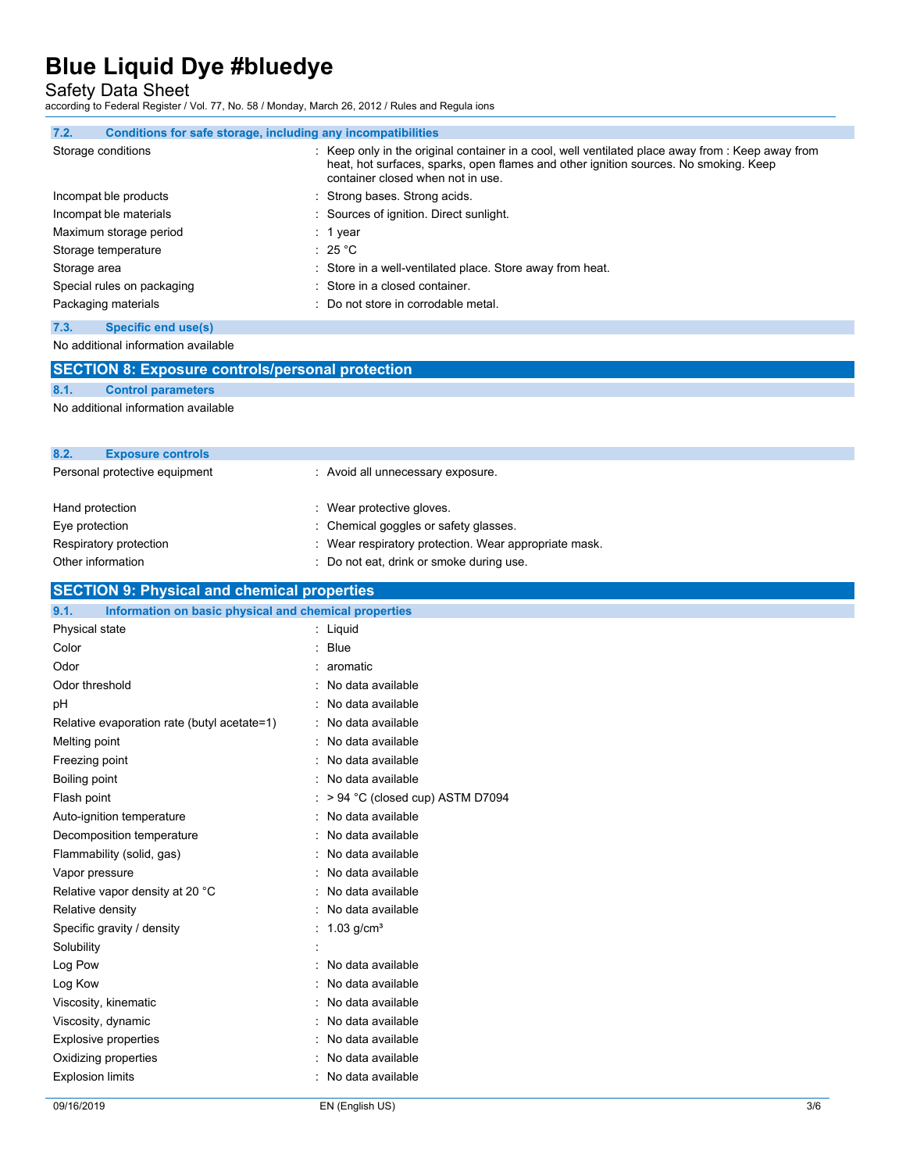Safety Data Sheet

according to Federal Register / Vol. 77, No. 58 / Monday, March 26, 2012 / Rules and Regula ions

| 7.2.<br>Conditions for safe storage, including any incompatibilities |                                                                                                                                                                                                                                |
|----------------------------------------------------------------------|--------------------------------------------------------------------------------------------------------------------------------------------------------------------------------------------------------------------------------|
| Storage conditions                                                   | : Keep only in the original container in a cool, well ventilated place away from : Keep away from<br>heat, hot surfaces, sparks, open flames and other ignition sources. No smoking. Keep<br>container closed when not in use. |
| Incompat ble products                                                | : Strong bases. Strong acids.                                                                                                                                                                                                  |
| Incompat ble materials                                               | : Sources of ignition. Direct sunlight.                                                                                                                                                                                        |
| Maximum storage period                                               | $: 1$ year                                                                                                                                                                                                                     |
| Storage temperature                                                  | : 25 °C                                                                                                                                                                                                                        |
| Storage area                                                         | : Store in a well-ventilated place. Store away from heat.                                                                                                                                                                      |
| Special rules on packaging                                           | : Store in a closed container.                                                                                                                                                                                                 |
| Packaging materials                                                  | : Do not store in corrodable metal.                                                                                                                                                                                            |

#### **7.3. Specific end use(s)**

No additional information available

|                 | <b>SECTION 8: Exposure controls/personal protection</b> |                                                       |
|-----------------|---------------------------------------------------------|-------------------------------------------------------|
| 8.1.            | <b>Control parameters</b>                               |                                                       |
|                 | No additional information available                     |                                                       |
| 8.2.            | <b>Exposure controls</b>                                |                                                       |
|                 | Personal protective equipment                           | : Avoid all unnecessary exposure.                     |
| Hand protection |                                                         | : Wear protective gloves.                             |
| Eye protection  |                                                         | : Chemical goggles or safety glasses.                 |
|                 | Respiratory protection                                  | : Wear respiratory protection. Wear appropriate mask. |

#### **SECTION 9: Physical and chemical properties 9.1. Information on basic physical and chemical properties**

| Physical state                              | $:$ Liquid                          |
|---------------------------------------------|-------------------------------------|
| Color                                       | <b>Blue</b>                         |
| Odor                                        | aromatic                            |
| Odor threshold                              | No data available                   |
| pH                                          | : No data available                 |
| Relative evaporation rate (butyl acetate=1) | : No data available                 |
| Melting point                               | No data available                   |
| Freezing point                              | No data available                   |
| <b>Boiling point</b>                        | No data available<br>۰.             |
| Flash point                                 | $:$ > 94 °C (closed cup) ASTM D7094 |
| Auto-ignition temperature                   | No data available                   |
| Decomposition temperature                   | : No data available                 |
| Flammability (solid, gas)                   | : No data available                 |
| Vapor pressure                              | : No data available                 |
| Relative vapor density at 20 °C             | : No data available                 |
| Relative density                            | No data available                   |
| Specific gravity / density                  | : $1.03$ g/cm <sup>3</sup>          |
| Solubility                                  |                                     |
| Log Pow                                     | No data available                   |
| Log Kow                                     | No data available                   |
| Viscosity, kinematic                        | No data available                   |
| Viscosity, dynamic                          | No data available                   |
| Explosive properties                        | No data available                   |
| Oxidizing properties                        | No data available                   |
| <b>Explosion limits</b>                     | No data available                   |
|                                             |                                     |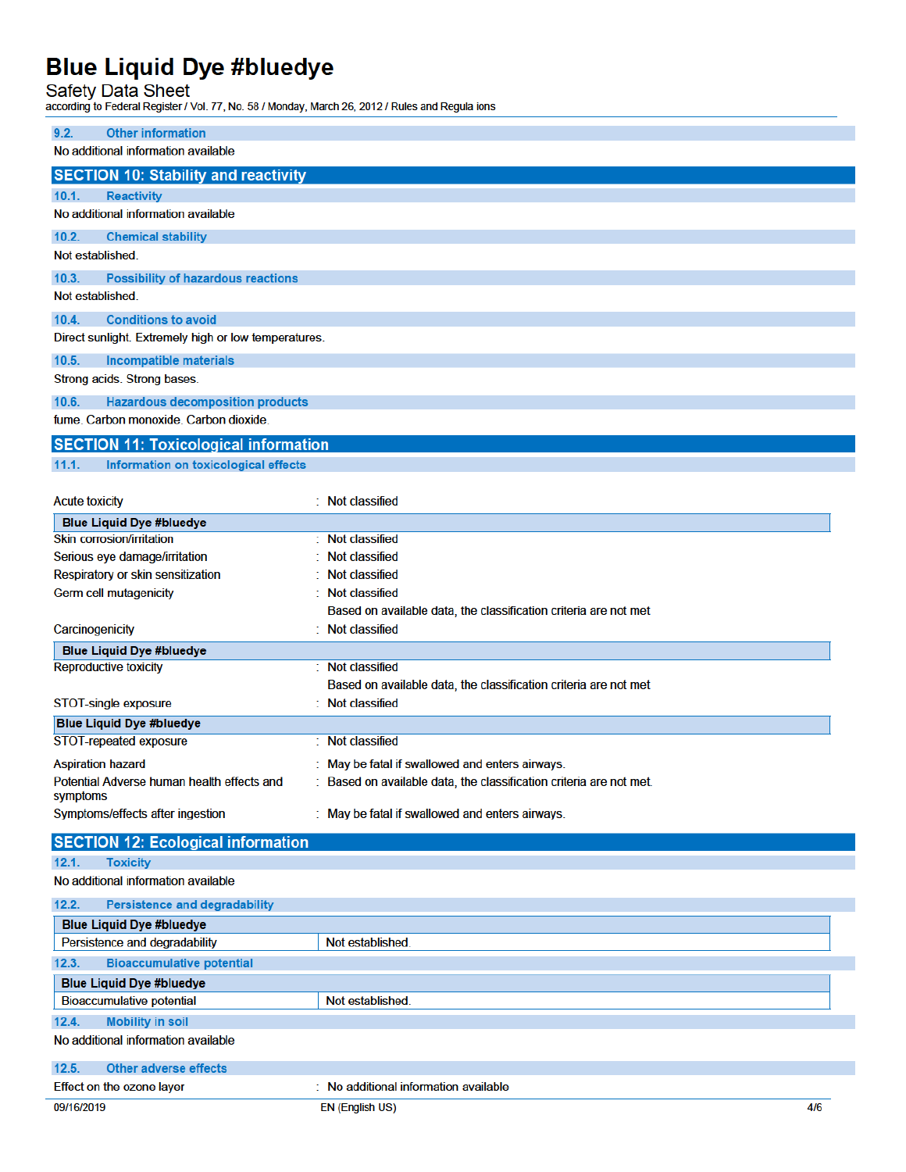# **Blue Liquid Dye #bluedye**<br>Safety Data Sheet<br>according to Federal Register / Vol. 77, No. 58 / Monday, March 26, 2012 / Rules and Regula ions

i.

| 9.2.<br><b>Other information</b>                                  |                                                                   |
|-------------------------------------------------------------------|-------------------------------------------------------------------|
| No additional information available                               |                                                                   |
| <b>SECTION 10: Stability and reactivity</b>                       |                                                                   |
|                                                                   |                                                                   |
| 10.1.<br><b>Reactivity</b><br>No additional information available |                                                                   |
|                                                                   |                                                                   |
| 10.2.<br><b>Chemical stability</b>                                |                                                                   |
| Not established.                                                  |                                                                   |
| 10.3.<br><b>Possibility of hazardous reactions</b>                |                                                                   |
| Not established.                                                  |                                                                   |
| <b>Conditions to avoid</b><br>10.4.                               |                                                                   |
| Direct sunlight. Extremely high or low temperatures.              |                                                                   |
| 10.5.<br><b>Incompatible materials</b>                            |                                                                   |
|                                                                   |                                                                   |
| Strong acids. Strong bases.                                       |                                                                   |
| 10.6.<br><b>Hazardous decomposition products</b>                  |                                                                   |
| fume, Carbon monoxide, Carbon dioxide,                            |                                                                   |
| <b>SECTION 11: Toxicological information</b>                      |                                                                   |
| 11.1.<br>Information on toxicological effects                     |                                                                   |
|                                                                   |                                                                   |
| <b>Acute toxicity</b>                                             | : Not classified                                                  |
| <b>Blue Liquid Dye #bluedye</b>                                   |                                                                   |
| <b>Skin corrosion/irritation</b>                                  | : Not classified                                                  |
| Serious eye damage/irritation                                     | <b>Not classified</b>                                             |
| Respiratory or skin sensitization                                 | <b>Not classified</b>                                             |
| Germ cell mutagenicity                                            | <b>Not classified</b>                                             |
|                                                                   | Based on available data, the classification criteria are not met  |
| Carcinogenicity                                                   | <b>Not classified</b>                                             |
| <b>Blue Liquid Dye #bluedye</b>                                   |                                                                   |
| <b>Reproductive toxicity</b>                                      | : Not classified                                                  |
|                                                                   | Based on available data, the classification criteria are not met  |
| STOT-single exposure                                              | <b>Not classified</b>                                             |
| <b>Blue Liquid Dye #bluedye</b>                                   |                                                                   |
| STOT-repeated exposure                                            | : Not classified                                                  |
| <b>Aspiration hazard</b>                                          | May be fatal if swallowed and enters airways.                     |
| Potential Adverse human health effects and                        | Based on available data, the classification criteria are not met. |
| symptoms                                                          |                                                                   |
| Symptoms/effects after ingestion                                  | : May be fatal if swallowed and enters airways.                   |
| <b>SECTION 12: Ecological information</b>                         |                                                                   |
| 12.1.<br><b>Toxicity</b>                                          |                                                                   |
| No additional information available                               |                                                                   |
| 12.2.<br><b>Persistence and degradability</b>                     |                                                                   |
| <b>Blue Liquid Dye #bluedye</b>                                   |                                                                   |
| Persistence and degradability                                     | Not established                                                   |
| 12.3.<br><b>Bioaccumulative potential</b>                         |                                                                   |
| <b>Blue Liquid Dye #bluedye</b>                                   |                                                                   |
| <b>Bioaccumulative potential</b>                                  | Not established                                                   |
| <b>Mobility in soil</b><br>12.4.                                  |                                                                   |
| No additional information available                               |                                                                   |
|                                                                   |                                                                   |
| 12.5.<br><b>Other adverse effects</b>                             |                                                                   |
| Effect on the ozone layer                                         | : No additional information available                             |
| 09/16/2019                                                        | <b>EN (English US)</b><br>4/6                                     |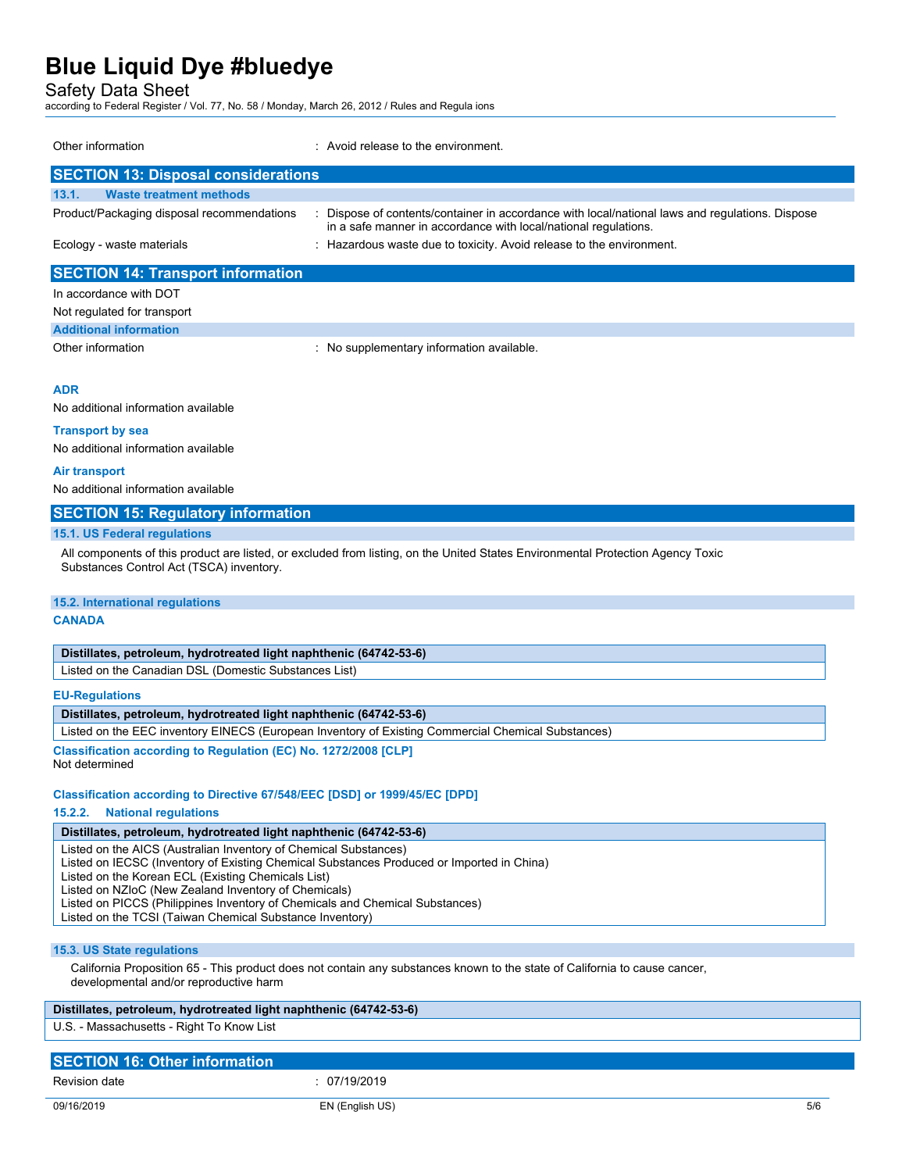Safety Data Sheet

according to Federal Register / Vol. 77, No. 58 / Monday, March 26, 2012 / Rules and Regula ions

| Other information                          | : Avoid release to the environment.                                                                                                                              |
|--------------------------------------------|------------------------------------------------------------------------------------------------------------------------------------------------------------------|
| <b>SECTION 13: Disposal considerations</b> |                                                                                                                                                                  |
| 13.1.<br><b>Waste treatment methods</b>    |                                                                                                                                                                  |
| Product/Packaging disposal recommendations | Dispose of contents/container in accordance with local/national laws and regulations. Dispose<br>in a safe manner in accordance with local/national regulations. |
| Ecology - waste materials                  | : Hazardous waste due to toxicity. Avoid release to the environment.                                                                                             |
| <b>SECTION 14: Transport information</b>   |                                                                                                                                                                  |
| In accordance with DOT                     |                                                                                                                                                                  |

| Not regulated for transport   |                                         |
|-------------------------------|-----------------------------------------|
| <b>Additional information</b> |                                         |
| Other information             | No supplementary information available. |

#### **ADR**

No additional information available

#### **Transport by sea**

No additional information available

#### **Air transport**

No additional information available

#### **SECTION 15: Regulatory information**

#### **15.1. US Federal regulations**

All components of this product are listed, or excluded from listing, on the United States Environmental Protection Agency Toxic Substances Control Act (TSCA) inventory.

#### **15.2. International regulations**

#### **CANADA**

| Distillates, petroleum, hydrotreated light naphthenic (64742-53-6) |  |  |  |
|--------------------------------------------------------------------|--|--|--|
|--------------------------------------------------------------------|--|--|--|

Listed on the Canadian DSL (Domestic Substances List)

**EU-Regulations**

#### **Distillates, petroleum, hydrotreated light naphthenic (64742-53-6)**

Listed on the EEC inventory EINECS (European Inventory of Existing Commercial Chemical Substances)

**Classification according to Regulation (EC) No. 1272/2008 [CLP]** Not determined

#### **Classification according to Directive 67/548/EEC [DSD] or 1999/45/EC [DPD]**

#### **15.2.2. National regulations**

**Distillates, petroleum, hydrotreated light naphthenic (64742-53-6)**

Listed on the AICS (Australian Inventory of Chemical Substances)

Listed on IECSC (Inventory of Existing Chemical Substances Produced or Imported in China)

Listed on the Korean ECL (Existing Chemicals List)

Listed on NZIoC (New Zealand Inventory of Chemicals)

Listed on PICCS (Philippines Inventory of Chemicals and Chemical Substances)

Listed on the TCSI (Taiwan Chemical Substance Inventory)

#### **15.3. US State regulations**

California Proposition 65 - This product does not contain any substances known to the state of California to cause cancer, developmental and/or reproductive harm

#### **Distillates, petroleum, hydrotreated light naphthenic (64742-53-6)**

U.S. - Massachusetts - Right To Know List

| <b>SECTION 16: Other information</b> |            |
|--------------------------------------|------------|
| <b>Revision date</b>                 | 07/19/2019 |